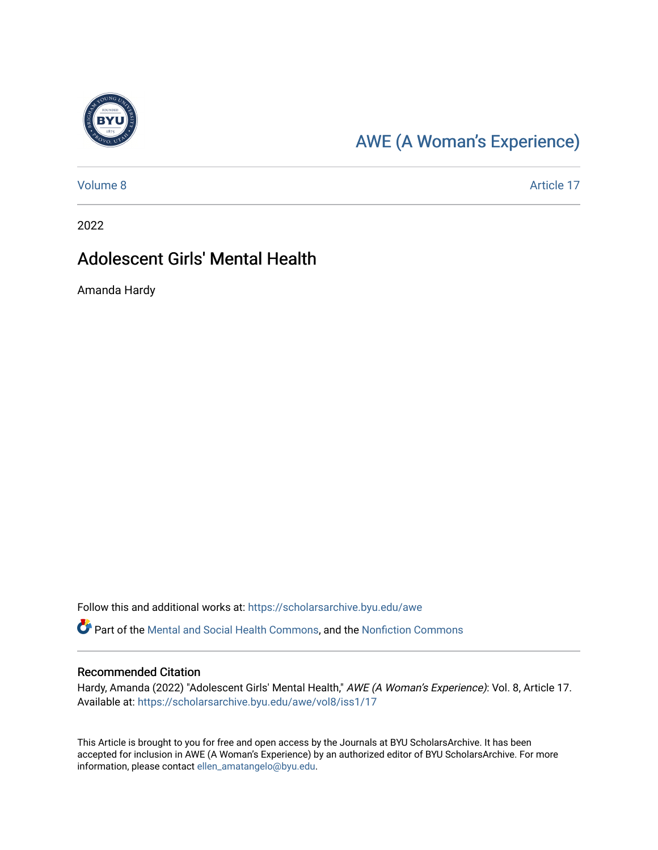

## [AWE \(A Woman's Experience\)](https://scholarsarchive.byu.edu/awe)

[Volume 8](https://scholarsarchive.byu.edu/awe/vol8) Article 17

2022

### Adolescent Girls' Mental Health

Amanda Hardy

Follow this and additional works at: [https://scholarsarchive.byu.edu/awe](https://scholarsarchive.byu.edu/awe?utm_source=scholarsarchive.byu.edu%2Fawe%2Fvol8%2Fiss1%2F17&utm_medium=PDF&utm_campaign=PDFCoverPages)

Part of the [Mental and Social Health Commons,](https://network.bepress.com/hgg/discipline/709?utm_source=scholarsarchive.byu.edu%2Fawe%2Fvol8%2Fiss1%2F17&utm_medium=PDF&utm_campaign=PDFCoverPages) and the [Nonfiction Commons](https://network.bepress.com/hgg/discipline/1152?utm_source=scholarsarchive.byu.edu%2Fawe%2Fvol8%2Fiss1%2F17&utm_medium=PDF&utm_campaign=PDFCoverPages)

#### Recommended Citation

Hardy, Amanda (2022) "Adolescent Girls' Mental Health," AWE (A Woman's Experience): Vol. 8, Article 17. Available at: [https://scholarsarchive.byu.edu/awe/vol8/iss1/17](https://scholarsarchive.byu.edu/awe/vol8/iss1/17?utm_source=scholarsarchive.byu.edu%2Fawe%2Fvol8%2Fiss1%2F17&utm_medium=PDF&utm_campaign=PDFCoverPages) 

This Article is brought to you for free and open access by the Journals at BYU ScholarsArchive. It has been accepted for inclusion in AWE (A Woman's Experience) by an authorized editor of BYU ScholarsArchive. For more information, please contact [ellen\\_amatangelo@byu.edu.](mailto:ellen_amatangelo@byu.edu)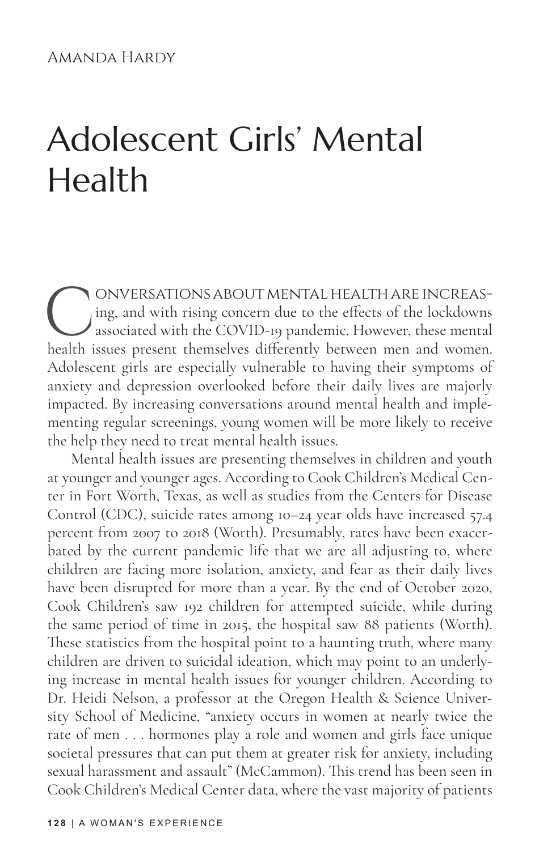# Adolescent Girls' Mental Health

CONVERSATIONS ABOUT MENTAL HEALTH ARE INCREAS-<br>ing, and with rising concern due to the effects of the lockdowns<br>associated with the COVID-19 pandemic. However, these mental<br>health issues present themselves differently betw ing, and with rising concern due to the effects of the lockdowns associated with the COVID-19 pandemic. However, these mental health issues present themselves differently between men and women. Adolescent girls are especially vulnerable to having their symptoms of anxiety and depression overlooked before their daily lives are majorly impacted. By increasing conversations around mental health and implementing regular screenings, young women will be more likely to receive the help they need to treat mental health issues.

Mental health issues are presenting themselves in children and youth at younger and younger ages. According to Cook Children's Medical Center in Fort Worth, Texas, as well as studies from the Centers for Disease Control (CDC), suicide rates among 10–24 year olds have increased 57.4 percent from 2007 to 2018 (Worth). Presumably, rates have been exacerbated by the current pandemic life that we are all adjusting to, where children are facing more isolation, anxiety, and fear as their daily lives have been disrupted for more than a year. By the end of October 2020, Cook Children's saw 192 children for attempted suicide, while during the same period of time in 2015, the hospital saw 88 patients (Worth). These statistics from the hospital point to a haunting truth, where many children are driven to suicidal ideation, which may point to an underlying increase in mental health issues for younger children. According to Dr. Heidi Nelson, a professor at the Oregon Health & Science University School of Medicine, "anxiety occurs in women at nearly twice the rate of men . . . hormones play a role and women and girls face unique societal pressures that can put them at greater risk for anxiety, including sexual harassment and assault" (McCammon). This trend has been seen in Cook Children's Medical Center data, where the vast majority of patients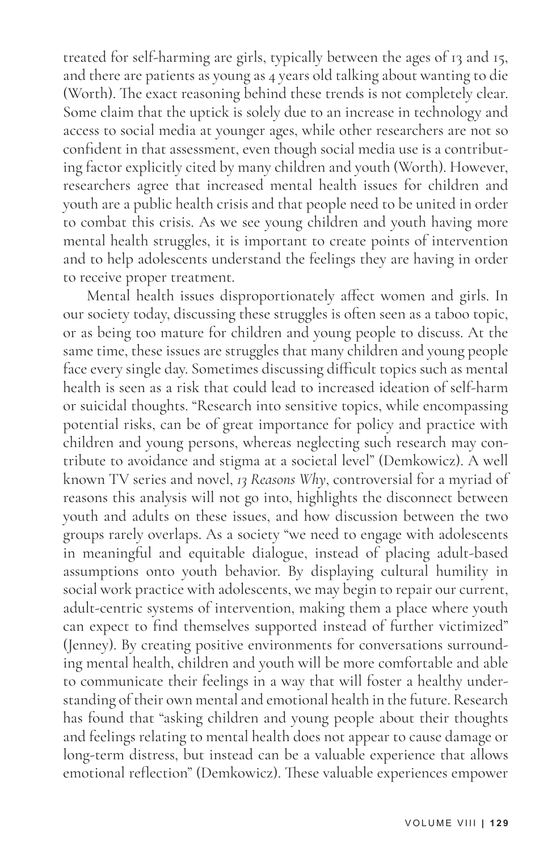treated for self-harming are girls, typically between the ages of 13 and 15, and there are patients as young as 4 years old talking about wanting to die (Worth). The exact reasoning behind these trends is not completely clear. Some claim that the uptick is solely due to an increase in technology and access to social media at younger ages, while other researchers are not so confident in that assessment, even though social media use is a contributing factor explicitly cited by many children and youth (Worth). However, researchers agree that increased mental health issues for children and youth are a public health crisis and that people need to be united in order to combat this crisis. As we see young children and youth having more mental health struggles, it is important to create points of intervention and to help adolescents understand the feelings they are having in order to receive proper treatment.

Mental health issues disproportionately affect women and girls. In our society today, discussing these struggles is often seen as a taboo topic, or as being too mature for children and young people to discuss. At the same time, these issues are struggles that many children and young people face every single day. Sometimes discussing difficult topics such as mental health is seen as a risk that could lead to increased ideation of self-harm or suicidal thoughts. "Research into sensitive topics, while encompassing potential risks, can be of great importance for policy and practice with children and young persons, whereas neglecting such research may contribute to avoidance and stigma at a societal level" (Demkowicz). A well known TV series and novel, *13 Reasons Why*, controversial for a myriad of reasons this analysis will not go into, highlights the disconnect between youth and adults on these issues, and how discussion between the two groups rarely overlaps. As a society "we need to engage with adolescents in meaningful and equitable dialogue, instead of placing adult-based assumptions onto youth behavior. By displaying cultural humility in social work practice with adolescents, we may begin to repair our current, adult-centric systems of intervention, making them a place where youth can expect to find themselves supported instead of further victimized" (Jenney). By creating positive environments for conversations surrounding mental health, children and youth will be more comfortable and able to communicate their feelings in a way that will foster a healthy understanding of their own mental and emotional health in the future. Research has found that "asking children and young people about their thoughts and feelings relating to mental health does not appear to cause damage or long-term distress, but instead can be a valuable experience that allows emotional reflection" (Demkowicz). These valuable experiences empower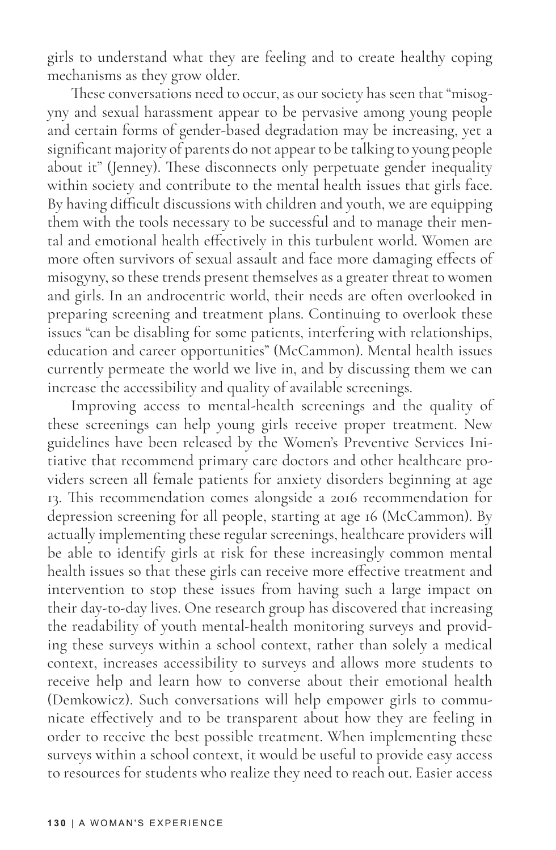girls to understand what they are feeling and to create healthy coping mechanisms as they grow older.

These conversations need to occur, as our society has seen that "misogyny and sexual harassment appear to be pervasive among young people and certain forms of gender-based degradation may be increasing, yet a significant majority of parents do not appear to be talking to young people about it" (Jenney). These disconnects only perpetuate gender inequality within society and contribute to the mental health issues that girls face. By having difficult discussions with children and youth, we are equipping them with the tools necessary to be successful and to manage their mental and emotional health effectively in this turbulent world. Women are more often survivors of sexual assault and face more damaging effects of misogyny, so these trends present themselves as a greater threat to women and girls. In an androcentric world, their needs are often overlooked in preparing screening and treatment plans. Continuing to overlook these issues "can be disabling for some patients, interfering with relationships, education and career opportunities" (McCammon). Mental health issues currently permeate the world we live in, and by discussing them we can increase the accessibility and quality of available screenings.

Improving access to mental-health screenings and the quality of these screenings can help young girls receive proper treatment. New guidelines have been released by the Women's Preventive Services Initiative that recommend primary care doctors and other healthcare providers screen all female patients for anxiety disorders beginning at age 13. This recommendation comes alongside a 2016 recommendation for depression screening for all people, starting at age 16 (McCammon). By actually implementing these regular screenings, healthcare providers will be able to identify girls at risk for these increasingly common mental health issues so that these girls can receive more effective treatment and intervention to stop these issues from having such a large impact on their day-to-day lives. One research group has discovered that increasing the readability of youth mental-health monitoring surveys and providing these surveys within a school context, rather than solely a medical context, increases accessibility to surveys and allows more students to receive help and learn how to converse about their emotional health (Demkowicz). Such conversations will help empower girls to communicate effectively and to be transparent about how they are feeling in order to receive the best possible treatment. When implementing these surveys within a school context, it would be useful to provide easy access to resources for students who realize they need to reach out. Easier access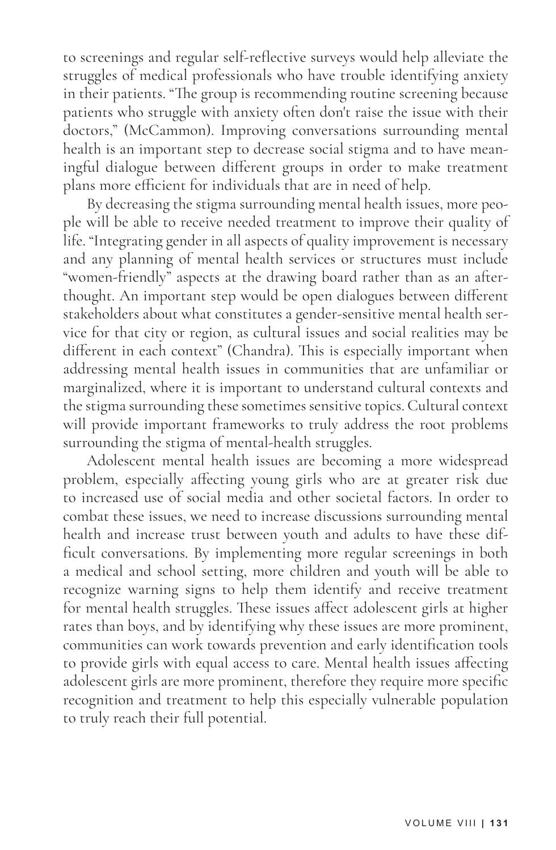to screenings and regular self-reflective surveys would help alleviate the struggles of medical professionals who have trouble identifying anxiety in their patients. "The group is recommending routine screening because patients who struggle with anxiety often don't raise the issue with their doctors," (McCammon). Improving conversations surrounding mental health is an important step to decrease social stigma and to have meaningful dialogue between different groups in order to make treatment plans more efficient for individuals that are in need of help.

By decreasing the stigma surrounding mental health issues, more people will be able to receive needed treatment to improve their quality of life. "Integrating gender in all aspects of quality improvement is necessary and any planning of mental health services or structures must include "women-friendly" aspects at the drawing board rather than as an afterthought. An important step would be open dialogues between different stakeholders about what constitutes a gender-sensitive mental health service for that city or region, as cultural issues and social realities may be different in each context" (Chandra). This is especially important when addressing mental health issues in communities that are unfamiliar or marginalized, where it is important to understand cultural contexts and the stigma surrounding these sometimes sensitive topics. Cultural context will provide important frameworks to truly address the root problems surrounding the stigma of mental-health struggles.

Adolescent mental health issues are becoming a more widespread problem, especially affecting young girls who are at greater risk due to increased use of social media and other societal factors. In order to combat these issues, we need to increase discussions surrounding mental health and increase trust between youth and adults to have these difficult conversations. By implementing more regular screenings in both a medical and school setting, more children and youth will be able to recognize warning signs to help them identify and receive treatment for mental health struggles. These issues affect adolescent girls at higher rates than boys, and by identifying why these issues are more prominent, communities can work towards prevention and early identification tools to provide girls with equal access to care. Mental health issues affecting adolescent girls are more prominent, therefore they require more specific recognition and treatment to help this especially vulnerable population to truly reach their full potential.